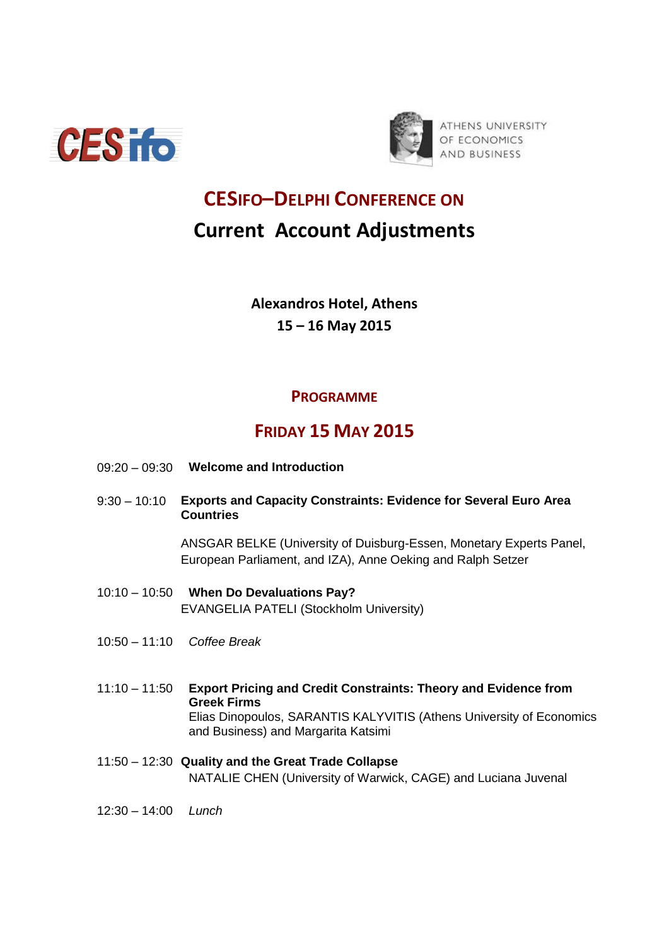



## **CESIFO–DELPHI CONFERENCE ON**

# **Current Account Adjustments**

**Alexandros Hotel, Athens 15 – 16 May 2015**

#### **PROGRAMME**

### **FRIDAY 15 MAY 2015**

- 09:20 09:30 **Welcome and Introduction**
- 9:30 10:10 **Exports and Capacity Constraints: Evidence for Several Euro Area Countries**

ANSGAR BELKE (University of Duisburg-Essen, Monetary Experts Panel, European Parliament, and IZA), Anne Oeking and Ralph Setzer

- 10:10 10:50 **When Do Devaluations Pay?** EVANGELIA PATELI (Stockholm University)
- 10:50 11:10 *Coffee Break*
- 11:10 11:50 **Export Pricing and Credit Constraints: Theory and Evidence from Greek Firms** Elias Dinopoulos, SARANTIS KALYVITIS (Athens University of Economics and Business) and Margarita Katsimi
- 11:50 12:30 **Quality and the Great Trade Collapse**  NATALIE CHEN (University of Warwick, CAGE) and Luciana Juvenal
- 12:30 14:00 *Lunch*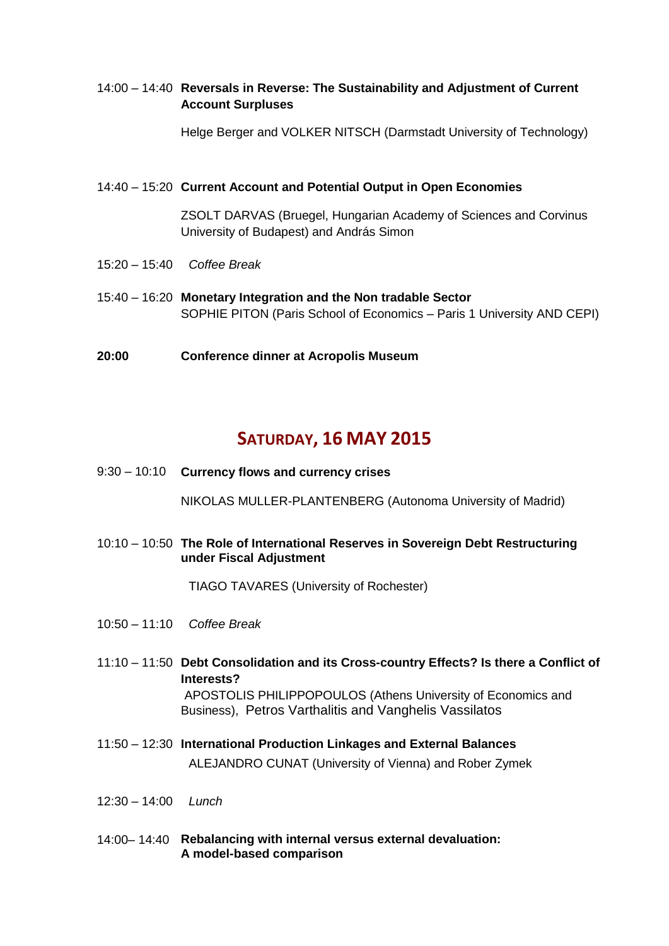#### 14:00 – 14:40 **Reversals in Reverse: The Sustainability and Adjustment of Current Account Surpluses**

Helge Berger and VOLKER NITSCH (Darmstadt University of Technology)

#### 14:40 – 15:20 **Current Account and Potential Output in Open Economies**

ZSOLT DARVAS (Bruegel, Hungarian Academy of Sciences and Corvinus University of Budapest) and András Simon

- 15:20 15:40 *Coffee Break*
- 15:40 16:20 **Monetary Integration and the Non tradable Sector** SOPHIE PITON (Paris School of Economics – Paris 1 University AND CEPI)
- **20:00 Conference dinner at Acropolis Museum**

### **SATURDAY, 16 MAY 2015**

9:30 – 10:10 **[Currency flows and currency crises](http://www.cesifo-group.de/cesifo_apps/download/Nikolas%20M%C3%BCller-Plantenberg%20-%20Currency%20flows%20and%20currency%20crises.pdf)**

NIKOLAS MULLER-PLANTENBERG (Autonoma University of Madrid)

10:10 – 10:50 **The Role of International Reserves in Sovereign Debt Restructuring under Fiscal Adjustment**

TIAGO TAVARES (University of Rochester)

- 10:50 11:10 *Coffee Break*
- 11:10 11:50 **[Debt Consolidation and its Cross-country Effects? Is there a Conflict of](http://www.cesifo-group.de/cesifo_apps/download/APhil_two%20country%20NKM_submitted%20to%20CESifo-Delphi_%20Jan%2023%202015.pdf)  [Interests?](http://www.cesifo-group.de/cesifo_apps/download/APhil_two%20country%20NKM_submitted%20to%20CESifo-Delphi_%20Jan%2023%202015.pdf)** APOSTOLIS PHILIPPOPOULOS (Athens University of Economics and Business), Petros Varthalitis and Vanghelis Vassilatos
- 11:50 12:30 **[International Production Linkages and](http://www.cesifo-group.de/cesifo_apps/download/CZ_LongAbstract.pdf) External Balances** ALEJANDRO CUNAT (University of Vienna) and Rober Zymek
- 12:30 14:00 *Lunch*
- 14:00– 14:40 **Rebalancing with internal versus external devaluation: A model-based comparison**